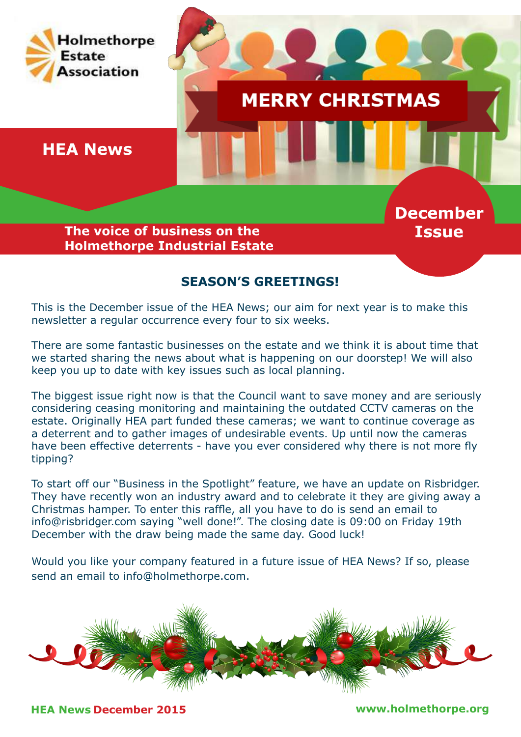

# **SEASON'S GREETINGS!**

This is the December issue of the HEA News; our aim for next year is to make this newsletter a regular occurrence every four to six weeks.

There are some fantastic businesses on the estate and we think it is about time that we started sharing the news about what is happening on our doorstep! We will also keep you up to date with key issues such as local planning.

The biggest issue right now is that the Council want to save money and are seriously considering ceasing monitoring and maintaining the outdated CCTV cameras on the estate. Originally HEA part funded these cameras; we want to continue coverage as a deterrent and to gather images of undesirable events. Up until now the cameras have been effective deterrents - have you ever considered why there is not more fly tipping?

To start off our "Business in the Spotlight" feature, we have an update on Risbridger. They have recently won an industry award and to celebrate it they are giving away a Christmas hamper. To enter this raffle, all you have to do is send an email to info@risbridger.com saying "well done!". The closing date is 09:00 on Friday 19th December with the draw being made the same day. Good luck!

Would you like your company featured in a future issue of HEA News? If so, please send an email to info@holmethorpe.com.



**HEA News December 2015 www.holmethorpe.org**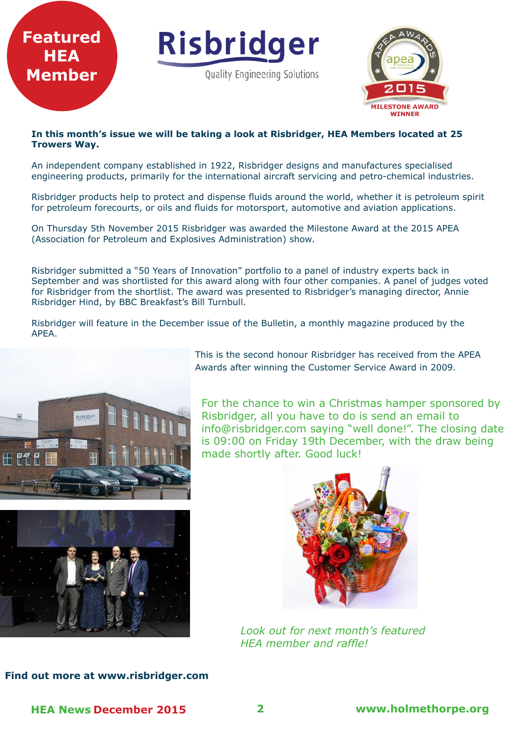

#### **In this month's issue we will be taking a look at Risbridger, HEA Members located at 25 Trowers Way.**

An independent company established in 1922, Risbridger designs and manufactures specialised engineering products, primarily for the international aircraft servicing and petro-chemical industries.

Risbridger products help to protect and dispense fluids around the world, whether it is petroleum spirit for petroleum forecourts, or oils and fluids for motorsport, automotive and aviation applications.

On Thursday 5th November 2015 Risbridger was awarded the Milestone Award at the 2015 APEA (Association for Petroleum and Explosives Administration) show.

Risbridger submitted a "50 Years of Innovation" portfolio to a panel of industry experts back in September and was shortlisted for this award along with four other companies. A panel of judges voted for Risbridger from the shortlist. The award was presented to Risbridger's managing director, Annie Risbridger Hind, by BBC Breakfast's Bill Turnbull.

Risbridger will feature in the December issue of the Bulletin, a monthly magazine produced by the APEA.



This is the second honour Risbridger has received from the APEA Awards after winning the Customer Service Award in 2009.

For the chance to win a Christmas hamper sponsored by Risbridger, all you have to do is send an email to info@risbridger.com saying "well done!". The closing date is 09:00 on Friday 19th December, with the draw being made shortly after. Good luck!





*Look out for next month's featured HEA member and raffle!*

#### **Find out more at www.risbridger.com**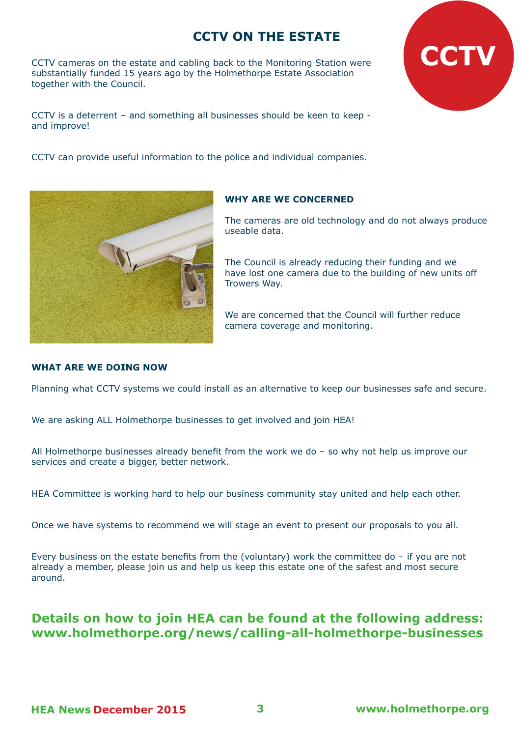# **CCTV ON THE ESTATE**

CCTV cameras on the estate and cabling back to the Monitoring Station were substantially funded 15 years ago by the Holmethorpe Estate Association together with the Council.

CCTV is a deterrent – and something all businesses should be keen to keep and improve!

CCTV can provide useful information to the police and individual companies.



### **WHY ARE WE CONCERNED**

The cameras are old technology and do not always produce useable data.

**CCTV**

The Council is already reducing their funding and we have lost one camera due to the building of new units off Trowers Way.

We are concerned that the Council will further reduce camera coverage and monitoring.

#### **WHAT ARE WE DOING NOW**

Planning what CCTV systems we could install as an alternative to keep our businesses safe and secure.

We are asking ALL Holmethorpe businesses to get involved and join HEA!

All Holmethorpe businesses already benefit from the work we do – so why not help us improve our services and create a bigger, better network.

HEA Committee is working hard to help our business community stay united and help each other.

Once we have systems to recommend we will stage an event to present our proposals to you all.

Every business on the estate benefits from the (voluntary) work the committee do – if you are not already a member, please join us and help us keep this estate one of the safest and most secure around.

## **Details on how to join HEA can be found at the following address: www.holmethorpe.org/news/calling-all-holmethorpe-businesses**